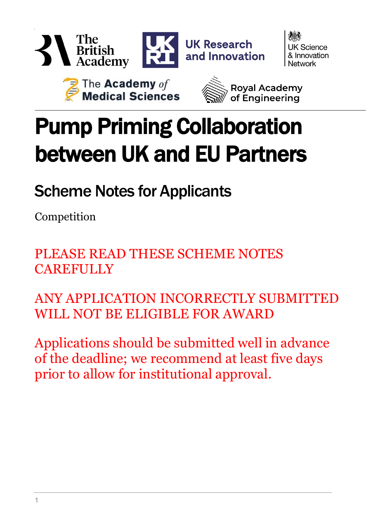





Scheme Notes for Applicants

Competition

PLEASE READ THESE SCHEME NOTES **CAREFULLY** 

ANY APPLICATION INCORRECTLY SUBMITTED WILL NOT BE ELIGIBLE FOR AWARD

Applications should be submitted well in advance of the deadline; we recommend at least five days prior to allow for institutional approval.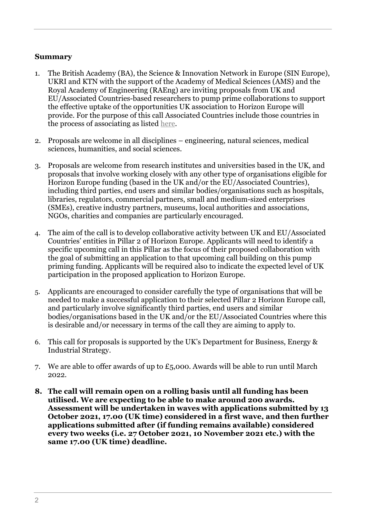#### **Summary**

- 1. The British Academy (BA), the Science & Innovation Network in Europe (SIN Europe), UKRI and KTN with the support of the Academy of Medical Sciences (AMS) and the Royal Academy of Engineering (RAEng) are inviting proposals from UK and EU/Associated Countries-based researchers to pump prime collaborations to support the effective uptake of the opportunities UK association to Horizon Europe will provide. For the purpose of this call Associated Countries include those countries in the process of associating as listed [here.](https://ec.europa.eu/info/funding-tenders/opportunities/docs/2021-2027/common/guidance/list-3rd-country-participation_horizon-euratom_en.pdf)
- 2. Proposals are welcome in all disciplines engineering, natural sciences, medical sciences, humanities, and social sciences.
- 3. Proposals are welcome from research institutes and universities based in the UK, and proposals that involve working closely with any other type of organisations eligible for Horizon Europe funding (based in the UK and/or the EU/Associated Countries), including third parties, end users and similar bodies/organisations such as hospitals, libraries, regulators, commercial partners, small and medium-sized enterprises (SMEs), creative industry partners, museums, local authorities and associations, NGOs, charities and companies are particularly encouraged.
- 4. The aim of the call is to develop collaborative activity between UK and EU/Associated Countries' entities in Pillar 2 of Horizon Europe. Applicants will need to identify a specific upcoming call in this Pillar as the focus of their proposed collaboration with the goal of submitting an application to that upcoming call building on this pump priming funding. Applicants will be required also to indicate the expected level of UK participation in the proposed application to Horizon Europe.
- 5. Applicants are encouraged to consider carefully the type of organisations that will be needed to make a successful application to their selected Pillar 2 Horizon Europe call, and particularly involve significantly third parties, end users and similar bodies/organisations based in the UK and/or the EU/Associated Countries where this is desirable and/or necessary in terms of the call they are aiming to apply to.
- 6. This call for proposals is supported by the UK's Department for Business, Energy & Industrial Strategy.
- 7. We are able to offer awards of up to  $£5,000$ . Awards will be able to run until March 2022.
- **8. The call will remain open on a rolling basis until all funding has been utilised. We are expecting to be able to make around 200 awards. Assessment will be undertaken in waves with applications submitted by 13 October 2021, 17.00 (UK time) considered in a first wave, and then further applications submitted after (if funding remains available) considered every two weeks (i.e. 27 October 2021, 10 November 2021 etc.) with the same 17.00 (UK time) deadline.**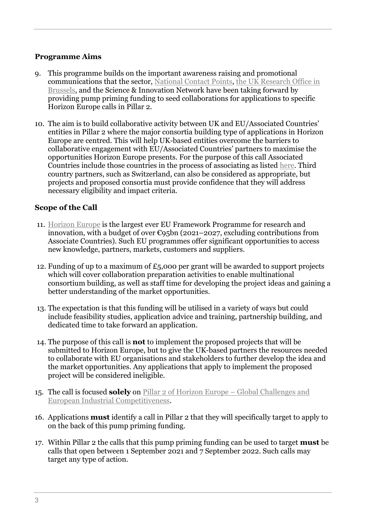#### **Programme Aims**

- 9. This programme builds on the important awareness raising and promotional communications that the sector, [National Contact Points,](https://www.gov.uk/business-finance-support/horizon-2020-business-grants-uk#find-your-uk-national-contact-point-for-advice) [the UK Research Office in](https://www.ukro.ac.uk/)  [Brussels,](https://www.ukro.ac.uk/) and the Science & Innovation Network have been taking forward by providing pump priming funding to seed collaborations for applications to specific Horizon Europe calls in Pillar 2.
- 10. The aim is to build collaborative activity between UK and EU/Associated Countries' entities in Pillar 2 where the major consortia building type of applications in Horizon Europe are centred. This will help UK-based entities overcome the barriers to collaborative engagement with EU/Associated Countries' partners to maximise the opportunities Horizon Europe presents. For the purpose of this call Associated Countries include those countries in the process of associating as listed [here.](https://ec.europa.eu/info/funding-tenders/opportunities/docs/2021-2027/common/guidance/list-3rd-country-participation_horizon-euratom_en.pdf) Third country partners, such as Switzerland, can also be considered as appropriate, but projects and proposed consortia must provide confidence that they will address necessary eligibility and impact criteria.

#### **Scope of the Call**

- 11. [Horizon Europe](https://ec.europa.eu/info/funding-tenders/opportunities/portal/screen/opportunities/topic-search;callCode=null;freeTextSearchKeyword=;matchWholeText=true;typeCodes=0,1,2;statusCodes=31094502,31094501,31094503;programmePeriod=2021%20-%202027;programCcm2Id=43108390;programDivisionCode=null;focusAreaCode=null;destination=null;mission=null;geographicalZonesCode=null;programmeDivisionProspect=null;startDateLte=null;startDateGte=null;crossCuttingPriorityCode=null;cpvCode=null;performanceOfDelivery=null;sortQuery=deadlineDate;orderBy=asc;onlyTenders=false;topicListKey=topicSearchTablePageState) is the largest ever EU Framework Programme for research and innovation, with a budget of over  $\epsilon$ 95bn (2021–2027, excluding contributions from Associate Countries). Such EU programmes offer significant opportunities to access new knowledge, partners, markets, customers and suppliers.
- 12. Funding of up to a maximum of £5,000 per grant will be awarded to support projects which will cover collaboration preparation activities to enable multinational consortium building, as well as staff time for developing the project ideas and gaining a better understanding of the market opportunities.
- 13. The expectation is that this funding will be utilised in a variety of ways but could include feasibility studies, application advice and training, partnership building, and dedicated time to take forward an application.
- 14. The purpose of this call is **not** to implement the proposed projects that will be submitted to Horizon Europe, but to give the UK-based partners the resources needed to collaborate with EU organisations and stakeholders to further develop the idea and the market opportunities. Any applications that apply to implement the proposed project will be considered ineligible.
- 15. The call is focused **solely** on [Pillar 2 of Horizon Europe –](https://ec.europa.eu/info/research-and-innovation/funding/funding-opportunities/funding-programmes-and-open-calls/horizon-europe_en) Global Challenges and [European Industrial Competitiveness.](https://ec.europa.eu/info/research-and-innovation/funding/funding-opportunities/funding-programmes-and-open-calls/horizon-europe_en)
- 16. Applications **must** identify a call in Pillar 2 that they will specifically target to apply to on the back of this pump priming funding.
- 17. Within Pillar 2 the calls that this pump priming funding can be used to target **must** be calls that open between 1 September 2021 and 7 September 2022. Such calls may target any type of action.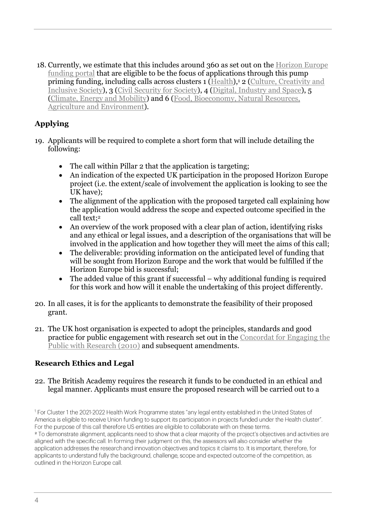18. Currently, we estimate that this includes around 360 as set out on the [Horizon Europe](https://ec.europa.eu/info/funding-tenders/opportunities/portal/screen/opportunities/topic-search;callCode=null;freeTextSearchKeyword=;matchWholeText=true;typeCodes=1,0;statusCodes=31094501;programmePeriod=2021%20-%202027;programCcm2Id=43108390;programDivisionCode=43108541,43108557,43118846,43118971,43120193,43120821,43121563;focusAreaCode=null;destination=null;mission=null;geographicalZonesCode=null;programmeDivisionProspect=null;startDateLte=null;startDateGte=null;crossCuttingPriorityCode=null;cpvCode=null;performanceOfDelivery=null;sortQuery=startDate;orderBy=asc;onlyTenders=false;topicListKey=topicSearchTablePageState)  [funding portal](https://ec.europa.eu/info/funding-tenders/opportunities/portal/screen/opportunities/topic-search;callCode=null;freeTextSearchKeyword=;matchWholeText=true;typeCodes=1,0;statusCodes=31094501;programmePeriod=2021%20-%202027;programCcm2Id=43108390;programDivisionCode=43108541,43108557,43118846,43118971,43120193,43120821,43121563;focusAreaCode=null;destination=null;mission=null;geographicalZonesCode=null;programmeDivisionProspect=null;startDateLte=null;startDateGte=null;crossCuttingPriorityCode=null;cpvCode=null;performanceOfDelivery=null;sortQuery=startDate;orderBy=asc;onlyTenders=false;topicListKey=topicSearchTablePageState) that are eligible to be the focus of applications through this pump priming funding, including calls across clusters 1 [\(Health\)](https://ec.europa.eu/info/research-and-innovation/funding/funding-opportunities/funding-programmes-and-open-calls/horizon-europe/cluster-1-health_en),<sup>1</sup> 2 (Culture, Creativity and [Inclusive Society\)](https://ec.europa.eu/info/research-and-innovation/funding/funding-opportunities/funding-programmes-and-open-calls/horizon-europe/cluster-2-culture-creativity-and-inclusive-society_en), 3 [\(Civil Security](https://ec.europa.eu/info/research-and-innovation/funding/funding-opportunities/funding-programmes-and-open-calls/horizon-europe/cluster-3-civil-security-society_en) for Society), 4 [\(Digital, Industry and Space\)](https://ec.europa.eu/info/research-and-innovation/funding/funding-opportunities/funding-programmes-and-open-calls/horizon-europe/cluster-4-digital-industry-and-space_en), 5 [\(Climate, Energy and Mobility\)](https://ec.europa.eu/info/research-and-innovation/funding/funding-opportunities/funding-programmes-and-open-calls/horizon-europe/cluster-5-climate-energy-and-mobility_en) and 6 [\(Food, Bioeconomy, Natural Resources,](https://ec.europa.eu/info/research-and-innovation/funding/funding-opportunities/funding-programmes-and-open-calls/horizon-europe/cluster-6-food-bioeconomy-natural-resources-agriculture-and-environment_en)  [Agriculture and Environment\)](https://ec.europa.eu/info/research-and-innovation/funding/funding-opportunities/funding-programmes-and-open-calls/horizon-europe/cluster-6-food-bioeconomy-natural-resources-agriculture-and-environment_en).

# **Applying**

- 19. Applicants will be required to complete a short form that will include detailing the following:
	- The call within Pillar 2 that the application is targeting;
	- An indication of the expected UK participation in the proposed Horizon Europe project (i.e. the extent/scale of involvement the application is looking to see the UK have);
	- The alignment of the application with the proposed targeted call explaining how the application would address the scope and expected outcome specified in the call text;<sup>2</sup>
	- An overview of the work proposed with a clear plan of action, identifying risks and any ethical or legal issues, and a description of the organisations that will be involved in the application and how together they will meet the aims of this call;
	- The deliverable: providing information on the anticipated level of funding that will be sought from Horizon Europe and the work that would be fulfilled if the Horizon Europe bid is successful;
	- The added value of this grant if successful why additional funding is required for this work and how will it enable the undertaking of this project differently.
- 20. In all cases, it is for the applicants to demonstrate the feasibility of their proposed grant.
- 21. The UK host organisation is expected to adopt the principles, standards and good practice for public engagement with research set out in the [Concordat for Engaging the](https://www.ukri.org/files/legacy/scisoc/concordatforengagingthepublicwithresearch-pdf/)  [Public with Research](https://www.ukri.org/files/legacy/scisoc/concordatforengagingthepublicwithresearch-pdf/) (2010) and subsequent amendments.

# **Research Ethics and Legal**

#### 22. The British Academy requires the research it funds to be conducted in an ethical and legal manner. Applicants must ensure the proposed research will be carried out to a

<sup>1</sup> For Cluster 1 the 2021-2022 Health Work Programme states "any legal entity established in the United States of America is eligible to receive Union funding to support its participation in projects funded under the Health cluster". For the purpose of this call therefore US entities are eligible to collaborate with on these terms. <sup>2</sup> To demonstrate alignment, applicants need to show that a clear majority of the project's objectives and activities are aligned with the specific call. In forming their judgment on this, the assessors will also consider whether the application addresses the research and innovation objectives and topics it claims to. It is important, therefore, for applicants to understand fully the background, challenge, scope and expected outcome of the competition, as outlined in the Horizon Europe call.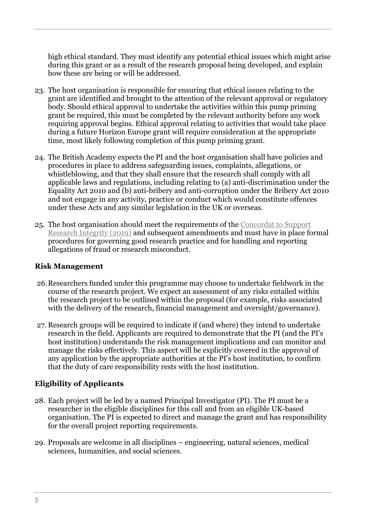high ethical standard. They must identify any potential ethical issues which might arise during this grant or as a result of the research proposal being developed, and explain how these are being or will be addressed.

- 23. The host organisation is responsible for ensuring that ethical issues relating to the grant are identified and brought to the attention of the relevant approval or regulatory body. Should ethical approval to undertake the activities within this pump priming grant be required, this must be completed by the relevant authority before any work requiring approval begins. Ethical approval relating to activities that would take place during a future Horizon Europe grant will require consideration at the appropriate time, most likely following completion of this pump priming grant.
- 24. The British Academy expects the PI and the host organisation shall have policies and procedures in place to address safeguarding issues, complaints, allegations, or whistleblowing, and that they shall ensure that the research shall comply with all applicable laws and regulations, including relating to (a) anti-discrimination under the Equality Act 2010 and (b) anti-bribery and anti-corruption under the Bribery Act 2010 and not engage in any activity, practice or conduct which would constitute offences under these Acts and any similar legislation in the UK or overseas.
- 25. The host organisation should meet the requirements of the [Concordat to Support](mailto:https://www.universitiesuk.ac.uk/policy-and-analysis/reports/Documents/2019/Updated%20FINAL-the-concordat-to-support-research-integrity.pdf)  [Research Integrity \(2019\)](mailto:https://www.universitiesuk.ac.uk/policy-and-analysis/reports/Documents/2019/Updated%20FINAL-the-concordat-to-support-research-integrity.pdf) and subsequent amendments and must have in place formal procedures for governing good research practice and for handling and reporting allegations of fraud or research misconduct.

### **Risk Management**

- 26.Researchers funded under this programme may choose to undertake fieldwork in the course of the research project. We expect an assessment of any risks entailed within the research project to be outlined within the proposal (for example, risks associated with the delivery of the research, financial management and oversight/governance).
- 27. Research groups will be required to indicate if (and where) they intend to undertake research in the field. Applicants are required to demonstrate that the PI (and the PI's host institution) understands the risk management implications and can monitor and manage the risks effectively. This aspect will be explicitly covered in the approval of any application by the appropriate authorities at the PI's host institution, to confirm that the duty of care responsibility rests with the host institution.

### **Eligibility of Applicants**

- 28. Each project will be led by a named Principal Investigator (PI). The PI must be a researcher in the eligible disciplines for this call and from an eligible UK-based organisation. The PI is expected to direct and manage the grant and has responsibility for the overall project reporting requirements.
- 29. Proposals are welcome in all disciplines engineering, natural sciences, medical sciences, humanities, and social sciences.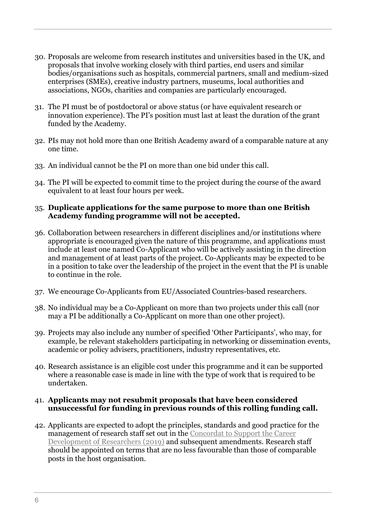- 30. Proposals are welcome from research institutes and universities based in the UK, and proposals that involve working closely with third parties, end users and similar bodies/organisations such as hospitals, commercial partners, small and medium-sized enterprises (SMEs), creative industry partners, museums, local authorities and associations, NGOs, charities and companies are particularly encouraged.
- 31. The PI must be of postdoctoral or above status (or have equivalent research or innovation experience). The PI's position must last at least the duration of the grant funded by the Academy.
- 32. PIs may not hold more than one British Academy award of a comparable nature at any one time.
- 33. An individual cannot be the PI on more than one bid under this call.
- 34. The PI will be expected to commit time to the project during the course of the award equivalent to at least four hours per week.

#### 35. **Duplicate applications for the same purpose to more than one British Academy funding programme will not be accepted.**

- 36. Collaboration between researchers in different disciplines and/or institutions where appropriate is encouraged given the nature of this programme, and applications must include at least one named Co-Applicant who will be actively assisting in the direction and management of at least parts of the project. Co-Applicants may be expected to be in a position to take over the leadership of the project in the event that the PI is unable to continue in the role.
- 37. We encourage Co-Applicants from EU/Associated Countries-based researchers.
- 38. No individual may be a Co-Applicant on more than two projects under this call (nor may a PI be additionally a Co-Applicant on more than one other project).
- 39. Projects may also include any number of specified 'Other Participants', who may, for example, be relevant stakeholders participating in networking or dissemination events, academic or policy advisers, practitioners, industry representatives, etc.
- 40. Research assistance is an eligible cost under this programme and it can be supported where a reasonable case is made in line with the type of work that is required to be undertaken.

#### 41. **Applicants may not resubmit proposals that have been considered unsuccessful for funding in previous rounds of this rolling funding call.**

42. Applicants are expected to adopt the principles, standards and good practice for the management of research staff set out in the [Concordat to Support the Career](https://www.vitae.ac.uk/policy/concordat)  [Development of Researchers \(](https://www.vitae.ac.uk/policy/concordat)2019) and subsequent amendments. Research staff should be appointed on terms that are no less favourable than those of comparable posts in the host organisation.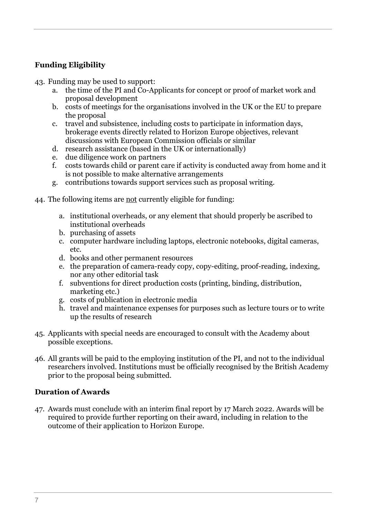# **Funding Eligibility**

43. Funding may be used to support:

- a. the time of the PI and Co-Applicants for concept or proof of market work and proposal development
- b. costs of meetings for the organisations involved in the UK or the EU to prepare the proposal
- c. travel and subsistence, including costs to participate in information days, brokerage events directly related to Horizon Europe objectives, relevant discussions with European Commission officials or similar
- d. research assistance (based in the UK or internationally)
- e. due diligence work on partners
- f. costs towards child or parent care if activity is conducted away from home and it is not possible to make alternative arrangements
- g. contributions towards support services such as proposal writing.
- 44. The following items are not currently eligible for funding:
	- a. institutional overheads, or any element that should properly be ascribed to institutional overheads
	- b. purchasing of assets
	- c. computer hardware including laptops, electronic notebooks, digital cameras, etc.
	- d. books and other permanent resources
	- e. the preparation of camera-ready copy, copy-editing, proof-reading, indexing, nor any other editorial task
	- f. subventions for direct production costs (printing, binding, distribution, marketing etc.)
	- g. costs of publication in electronic media
	- h. travel and maintenance expenses for purposes such as lecture tours or to write up the results of research
- 45. Applicants with special needs are encouraged to consult with the Academy about possible exceptions.
- 46. All grants will be paid to the employing institution of the PI, and not to the individual researchers involved. Institutions must be officially recognised by the British Academy prior to the proposal being submitted.

#### **Duration of Awards**

47. Awards must conclude with an interim final report by 17 March 2022. Awards will be required to provide further reporting on their award, including in relation to the outcome of their application to Horizon Europe.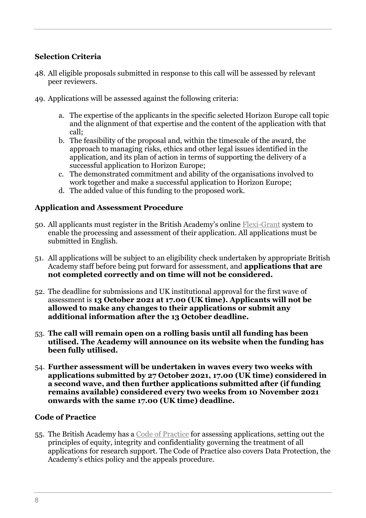## **Selection Criteria**

- 48. All eligible proposals submitted in response to this call will be assessed by relevant peer reviewers.
- 49. Applications will be assessed against the following criteria:
	- a. The expertise of the applicants in the specific selected Horizon Europe call topic and the alignment of that expertise and the content of the application with that call;
	- b. The feasibility of the proposal and, within the timescale of the award, the approach to managing risks, ethics and other legal issues identified in the application, and its plan of action in terms of supporting the delivery of a successful application to Horizon Europe;
	- c. The demonstrated commitment and ability of the organisations involved to work together and make a successful application to Horizon Europe;
	- d. The added value of this funding to the proposed work.

#### **Application and Assessment Procedure**

- 50. All applicants must register in the British Academy's online [Flexi-Grant](https://britishacademy.flexigrant.com/startapplication.aspx?id=8696) system to enable the processing and assessment of their application. All applications must be submitted in English.
- 51. All applications will be subject to an eligibility check undertaken by appropriate British Academy staff before being put forward for assessment, and **applications that are not completed correctly and on time will not be considered.**
- 52. The deadline for submissions and UK institutional approval for the first wave of assessment is **13 October 2021 at 17.00 (UK time). Applicants will not be allowed to make any changes to their applications or submit any additional information after the 13 October deadline.**
- 53. **The call will remain open on a rolling basis until all funding has been utilised. The Academy will announce on its website when the funding has been fully utilised.**
- 54. **Further assessment will be undertaken in waves every two weeks with applications submitted by 27 October 2021, 17.00 (UK time) considered in a second wave, and then further applications submitted after (if funding remains available) considered every two weeks from 10 November 2021 onwards with the same 17.00 (UK time) deadline.**

#### **Code of Practice**

55. The British Academy has a [Code of Practice](https://www.thebritishacademy.ac.uk/funding/code-practice) for assessing applications, setting out the principles of equity, integrity and confidentiality governing the treatment of all applications for research support. The Code of Practice also covers Data Protection, the Academy's ethics policy and the appeals procedure.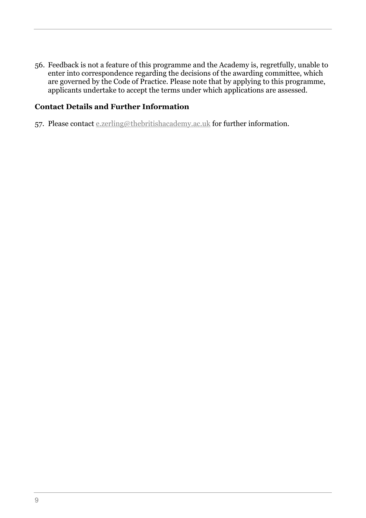56. Feedback is not a feature of this programme and the Academy is, regretfully, unable to enter into correspondence regarding the decisions of the awarding committee, which are governed by the Code of Practice. Please note that by applying to this programme, applicants undertake to accept the terms under which applications are assessed.

#### **Contact Details and Further Information**

57. Please contact [e.zerling@thebritishacademy.ac.uk](mailto:e.zerling@thebritishacademy.ac.uk) for further information.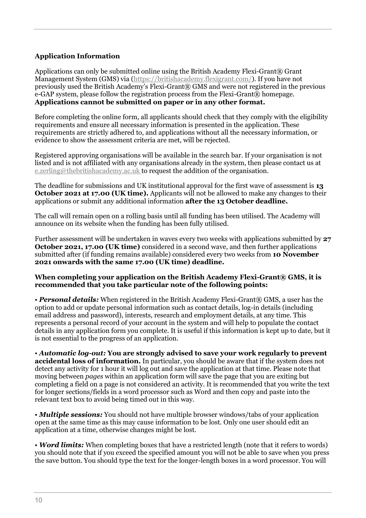#### **Application Information**

Applications can only be submitted online using the British Academy Flexi-Grant® Grant Management System (GMS) via [\(https://britishacademy.flexigrant.com/\)](https://britishacademy.flexigrant.com/). If you have not previously used the British Academy's Flexi-Grant® GMS and were not registered in the previous  $e$ -GAP system, please follow the registration process from the Flexi-Grant $\overline{R}$  homepage. **Applications cannot be submitted on paper or in any other format***.*

Before completing the online form, all applicants should check that they comply with the eligibility requirements and ensure all necessary information is presented in the application. These requirements are strictly adhered to, and applications without all the necessary information, or evidence to show the assessment criteria are met, will be rejected.

Registered approving organisations will be available in the search bar. If your organisation is not listed and is not affiliated with any organisations already in the system, then please contact us at [e.zerling@thebritishacademy.ac.uk](mailto:e.zerling@thebritishacademy.ac.uk) to request the addition of the organisation.

The deadline for submissions and UK institutional approval for the first wave of assessment is **13 October 2021 at 17.00 (UK time).** Applicants will not be allowed to make any changes to their applications or submit any additional information **after the 13 October deadline.** 

The call will remain open on a rolling basis until all funding has been utilised. The Academy will announce on its website when the funding has been fully utilised.

Further assessment will be undertaken in waves every two weeks with applications submitted by **27 October 2021, 17.00 (UK time)** considered in a second wave, and then further applications submitted after (if funding remains available) considered every two weeks from **10 November 2021 onwards with the same 17.00 (UK time) deadline.**

#### **When completing your application on the British Academy Flexi-Grant® GMS, it is recommended that you take particular note of the following points:**

• *Personal details:* When registered in the British Academy Flexi-Grant® GMS, a user has the option to add or update personal information such as contact details, log-in details (including email address and password), interests, research and employment details, at any time. This represents a personal record of your account in the system and will help to populate the contact details in any application form you complete. It is useful if this information is kept up to date, but it is not essential to the progress of an application.

• *Automatic log-out:* **You are strongly advised to save your work regularly to prevent accidental loss of information.** In particular, you should be aware that if the system does not detect any activity for 1 hour it will log out and save the application at that time. Please note that moving between *pages* within an application form will save the page that you are exiting but completing a field on a page is not considered an activity. It is recommended that you write the text for longer sections/fields in a word processor such as Word and then copy and paste into the relevant text box to avoid being timed out in this way.

• *Multiple sessions:* You should not have multiple browser windows/tabs of your application open at the same time as this may cause information to be lost. Only one user should edit an application at a time, otherwise changes might be lost.

• *Word limits:* When completing boxes that have a restricted length (note that it refers to words) you should note that if you exceed the specified amount you will not be able to save when you press the save button. You should type the text for the longer-length boxes in a word processor. You will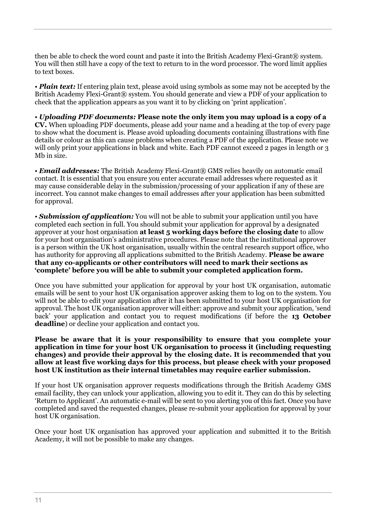then be able to check the word count and paste it into the British Academy Flexi-Grant® system. You will then still have a copy of the text to return to in the word processor. The word limit applies to text boxes.

• *Plain text:* If entering plain text, please avoid using symbols as some may not be accepted by the British Academy Flexi-Grant<sup>®</sup> system. You should generate and view a PDF of your application to check that the application appears as you want it to by clicking on 'print application'.

• *Uploading PDF documents:* **Please note the only item you may upload is a copy of a CV.** When uploading PDF documents, please add your name and a heading at the top of every page to show what the document is. Please avoid uploading documents containing illustrations with fine details or colour as this can cause problems when creating a PDF of the application. Please note we will only print your applications in black and white. Each PDF cannot exceed 2 pages in length or 3 Mb in size.

• *Email addresses:* The British Academy Flexi-Grant® GMS relies heavily on automatic email contact. It is essential that you ensure you enter accurate email addresses where requested as it may cause considerable delay in the submission/processing of your application if any of these are incorrect. You cannot make changes to email addresses after your application has been submitted for approval.

• *Submission of application:* You will not be able to submit your application until you have completed each section in full. You should submit your application for approval by a designated approver at your host organisation **at least 5 working days before the closing date** to allow for your host organisation's administrative procedures. Please note that the institutional approver is a person within the UK host organisation, usually within the central research support office, who has authority for approving all applications submitted to the British Academy. **Please be aware that any co-applicants or other contributors will need to mark their sections as 'complete' before you will be able to submit your completed application form.**

Once you have submitted your application for approval by your host UK organisation, automatic emails will be sent to your host UK organisation approver asking them to log on to the system. You will not be able to edit your application after it has been submitted to your host UK organisation for approval. The host UK organisation approver will either: approve and submit your application, 'send back' your application and contact you to request modifications (if before the **13 October deadline**) or decline your application and contact you.

**Please be aware that it is your responsibility to ensure that you complete your application in time for your host UK organisation to process it (including requesting changes) and provide their approval by the closing date. It is recommended that you allow at least five working days for this process, but please check with your proposed host UK institution as their internal timetables may require earlier submission.**

If your host UK organisation approver requests modifications through the British Academy GMS email facility, they can unlock your application, allowing you to edit it. They can do this by selecting 'Return to Applicant'. An automatic e-mail will be sent to you alerting you of this fact. Once you have completed and saved the requested changes, please re-submit your application for approval by your host UK organisation.

Once your host UK organisation has approved your application and submitted it to the British Academy, it will not be possible to make any changes.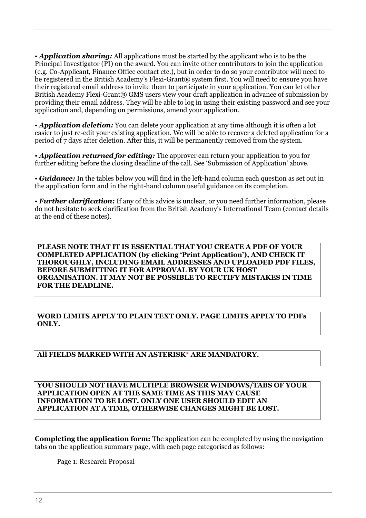• **Application sharing:** All applications must be started by the applicant who is to be the Principal Investigator (PI) on the award. You can invite other contributors to join the application (e.g. Co-Applicant, Finance Office contact etc.), but in order to do so your contributor will need to be registered in the British Academy's Flexi-Grant® system first. You will need to ensure you have their registered email address to invite them to participate in your application. You can let other British Academy Flexi-Grant® GMS users view your draft application in advance of submission by providing their email address. They will be able to log in using their existing password and see your application and, depending on permissions, amend your application.

• **Application deletion:** You can delete your application at any time although it is often a lot easier to just re-edit your existing application. We will be able to recover a deleted application for a period of 7 days after deletion. After this, it will be permanently removed from the system.

• *Application returned for editing:* The approver can return your application to you for further editing before the closing deadline of the call. See 'Submission of Application' above.

• *Guidance:* In the tables below you will find in the left-hand column each question as set out in the application form and in the right-hand column useful guidance on its completion.

• *Further clarification:* If any of this advice is unclear, or you need further information, please do not hesitate to seek clarification from the British Academy's International Team (contact details at the end of these notes).

**PLEASE NOTE THAT IT IS ESSENTIAL THAT YOU CREATE A PDF OF YOUR COMPLETED APPLICATION (by clicking 'Print Application'), AND CHECK IT THOROUGHLY, INCLUDING EMAIL ADDRESSES AND UPLOADED PDF FILES, BEFORE SUBMITTING IT FOR APPROVAL BY YOUR UK HOST ORGANISATION. IT MAY NOT BE POSSIBLE TO RECTIFY MISTAKES IN TIME FOR THE DEADLINE.**

**WORD LIMITS APPLY TO PLAIN TEXT ONLY. PAGE LIMITS APPLY TO PDFs ONLY.**

#### **All FIELDS MARKED WITH AN ASTERISK\* ARE MANDATORY.**

**YOU SHOULD NOT HAVE MULTIPLE BROWSER WINDOWS/TABS OF YOUR APPLICATION OPEN AT THE SAME TIME AS THIS MAY CAUSE INFORMATION TO BE LOST. ONLY ONE USER SHOULD EDIT AN APPLICATION AT A TIME, OTHERWISE CHANGES MIGHT BE LOST.**

**Completing the application form:** The application can be completed by using the navigation tabs on the application summary page, with each page categorised as follows:

Page 1: Research Proposal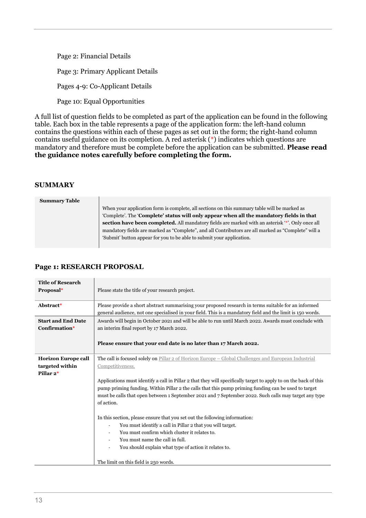Page 2: Financial Details Page 3: Primary Applicant Details Pages 4-9: Co-Applicant Details Page 10: Equal Opportunities

A full list of question fields to be completed as part of the application can be found in the following table. Each box in the table represents a page of the application form: the left-hand column contains the questions within each of these pages as set out in the form; the right-hand column contains useful guidance on its completion. A red asterisk (\*) indicates which questions are mandatory and therefore must be complete before the application can be submitted. **Please read the guidance notes carefully before completing the form.**

#### **SUMMARY**

**Summary Table**

When your application form is complete, all sections on this summary table will be marked as 'Complete'. The '**Complete' status will only appear when all the mandatory fields in that section have been completed.** All mandatory fields are marked with an asterisk '\*'. Only once all mandatory fields are marked as "Complete", and all Contributors are all marked as "Complete" will a 'Submit' button appear for you to be able to submit your application.

#### **Page 1: RESEARCH PROPOSAL**

| <b>Title of Research</b><br>Proposal*                      | Please state the title of your research project.                                                                                                                                                                                                                                                                                                                                                                                                                                                                                                                                                                                                                                                                                                                                                              |
|------------------------------------------------------------|---------------------------------------------------------------------------------------------------------------------------------------------------------------------------------------------------------------------------------------------------------------------------------------------------------------------------------------------------------------------------------------------------------------------------------------------------------------------------------------------------------------------------------------------------------------------------------------------------------------------------------------------------------------------------------------------------------------------------------------------------------------------------------------------------------------|
| Abstract*                                                  | Please provide a short abstract summarising your proposed research in terms suitable for an informed<br>general audience, not one specialised in your field. This is a mandatory field and the limit is 150 words.                                                                                                                                                                                                                                                                                                                                                                                                                                                                                                                                                                                            |
| <b>Start and End Date</b><br>Confirmation*                 | Awards will begin in October 2021 and will be able to run until March 2022. Awards must conclude with<br>an interim final report by 17 March 2022.<br>Please ensure that your end date is no later than 17 March 2022.                                                                                                                                                                                                                                                                                                                                                                                                                                                                                                                                                                                        |
| <b>Horizon Europe call</b><br>targeted within<br>Pillar 2* | The call is focused solely on Pillar 2 of Horizon Europe - Global Challenges and European Industrial<br>Competitiveness.<br>Applications must identify a call in Pillar 2 that they will specifically target to apply to on the back of this<br>pump priming funding. Within Pillar 2 the calls that this pump priming funding can be used to target<br>must be calls that open between 1 September 2021 and 7 September 2022. Such calls may target any type<br>of action.<br>In this section, please ensure that you set out the following information:<br>You must identify a call in Pillar 2 that you will target.<br>You must confirm which cluster it relates to.<br>You must name the call in full.<br>You should explain what type of action it relates to.<br>The limit on this field is 250 words. |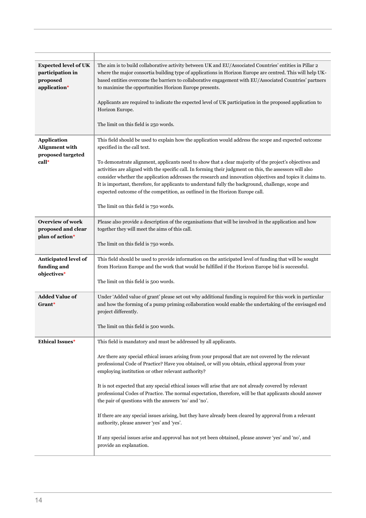| <b>Expected level of UK</b><br>participation in<br>proposed<br>application* | The aim is to build collaborative activity between UK and EU/Associated Countries' entities in Pillar 2<br>where the major consortia building type of applications in Horizon Europe are centred. This will help UK-<br>based entities overcome the barriers to collaborative engagement with EU/Associated Countries' partners<br>to maximise the opportunities Horizon Europe presents.<br>Applicants are required to indicate the expected level of UK participation in the proposed application to<br>Horizon Europe.<br>The limit on this field is 250 words.                                                                                                                                                                                                                                                                                                                                            |
|-----------------------------------------------------------------------------|---------------------------------------------------------------------------------------------------------------------------------------------------------------------------------------------------------------------------------------------------------------------------------------------------------------------------------------------------------------------------------------------------------------------------------------------------------------------------------------------------------------------------------------------------------------------------------------------------------------------------------------------------------------------------------------------------------------------------------------------------------------------------------------------------------------------------------------------------------------------------------------------------------------|
| <b>Application</b><br>Alignment with<br>proposed targeted<br>call*          | This field should be used to explain how the application would address the scope and expected outcome<br>specified in the call text.<br>To demonstrate alignment, applicants need to show that a clear majority of the project's objectives and<br>activities are aligned with the specific call. In forming their judgment on this, the assessors will also<br>consider whether the application addresses the research and innovation objectives and topics it claims to.<br>It is important, therefore, for applicants to understand fully the background, challenge, scope and<br>expected outcome of the competition, as outlined in the Horizon Europe call.<br>The limit on this field is 750 words.                                                                                                                                                                                                    |
| <b>Overview of work</b><br>proposed and clear<br>plan of action*            | Please also provide a description of the organisations that will be involved in the application and how<br>together they will meet the aims of this call.<br>The limit on this field is 750 words.                                                                                                                                                                                                                                                                                                                                                                                                                                                                                                                                                                                                                                                                                                            |
| Anticipated level of<br>funding and<br>objectives*                          | This field should be used to provide information on the anticipated level of funding that will be sought<br>from Horizon Europe and the work that would be fulfilled if the Horizon Europe bid is successful.<br>The limit on this field is 500 words.                                                                                                                                                                                                                                                                                                                                                                                                                                                                                                                                                                                                                                                        |
| <b>Added Value of</b><br>Grant*                                             | Under 'Added value of grant' please set out why additional funding is required for this work in particular<br>and how the forming of a pump priming collaboration would enable the undertaking of the envisaged end<br>project differently.<br>The limit on this field is 500 words.                                                                                                                                                                                                                                                                                                                                                                                                                                                                                                                                                                                                                          |
| <b>Ethical Issues*</b>                                                      | This field is mandatory and must be addressed by all applicants.<br>Are there any special ethical issues arising from your proposal that are not covered by the relevant<br>professional Code of Practice? Have you obtained, or will you obtain, ethical approval from your<br>employing institution or other relevant authority?<br>It is not expected that any special ethical issues will arise that are not already covered by relevant<br>professional Codes of Practice. The normal expectation, therefore, will be that applicants should answer<br>the pair of questions with the answers 'no' and 'no'.<br>If there are any special issues arising, but they have already been cleared by approval from a relevant<br>authority, please answer 'yes' and 'yes'.<br>If any special issues arise and approval has not yet been obtained, please answer 'yes' and 'no', and<br>provide an explanation. |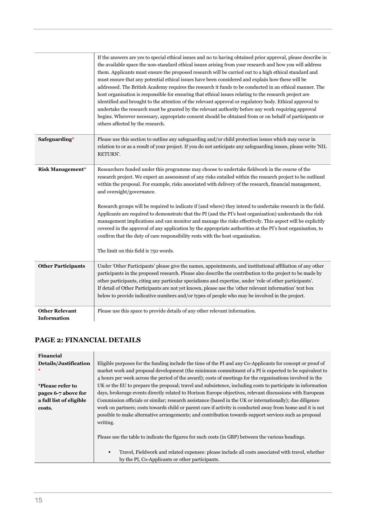|                                             | If the answers are yes to special ethical issues and no to having obtained prior approval, please describe in<br>the available space the non-standard ethical issues arising from your research and how you will address<br>them. Applicants must ensure the proposed research will be carried out to a high ethical standard and<br>must ensure that any potential ethical issues have been considered and explain how these will be<br>addressed. The British Academy requires the research it funds to be conducted in an ethical manner. The<br>host organisation is responsible for ensuring that ethical issues relating to the research project are<br>identified and brought to the attention of the relevant approval or regulatory body. Ethical approval to<br>undertake the research must be granted by the relevant authority before any work requiring approval<br>begins. Wherever necessary, appropriate consent should be obtained from or on behalf of participants or<br>others affected by the research. |
|---------------------------------------------|------------------------------------------------------------------------------------------------------------------------------------------------------------------------------------------------------------------------------------------------------------------------------------------------------------------------------------------------------------------------------------------------------------------------------------------------------------------------------------------------------------------------------------------------------------------------------------------------------------------------------------------------------------------------------------------------------------------------------------------------------------------------------------------------------------------------------------------------------------------------------------------------------------------------------------------------------------------------------------------------------------------------------|
| Safeguarding*                               | Please use this section to outline any safeguarding and/or child protection issues which may occur in<br>relation to or as a result of your project. If you do not anticipate any safeguarding issues, please write 'NIL<br>RETURN'.                                                                                                                                                                                                                                                                                                                                                                                                                                                                                                                                                                                                                                                                                                                                                                                         |
| <b>Risk Management*</b>                     | Researchers funded under this programme may choose to undertake fieldwork in the course of the<br>research project. We expect an assessment of any risks entailed within the research project to be outlined<br>within the proposal. For example, risks associated with delivery of the research, financial management,<br>and oversight/governance.<br>Research groups will be required to indicate if (and where) they intend to undertake research in the field.<br>Applicants are required to demonstrate that the PI (and the PI's host organisation) understands the risk<br>management implications and can monitor and manage the risks effectively. This aspect will be explicitly<br>covered in the approval of any application by the appropriate authorities at the PI's host organisation, to<br>confirm that the duty of care responsibility rests with the host organisation.<br>The limit on this field is 750 words.                                                                                        |
| <b>Other Participants</b>                   | Under 'Other Participants' please give the names, appointments, and institutional affiliation of any other<br>participants in the proposed research. Please also describe the contribution to the project to be made by<br>other participants, citing any particular specialisms and expertise, under 'role of other participants'.<br>If detail of Other Participants are not yet known, please use the 'other relevant information' text box<br>below to provide indicative numbers and/or types of people who may be involved in the project.                                                                                                                                                                                                                                                                                                                                                                                                                                                                             |
| <b>Other Relevant</b><br><b>Information</b> | Please use this space to provide details of any other relevant information.                                                                                                                                                                                                                                                                                                                                                                                                                                                                                                                                                                                                                                                                                                                                                                                                                                                                                                                                                  |

### **PAGE 2: FINANCIAL DETAILS**

| Financial               |                                                                                                                    |
|-------------------------|--------------------------------------------------------------------------------------------------------------------|
| Details/Justification   | Eligible purposes for the funding include the time of the PI and any Co-Applicants for concept or proof of         |
|                         | market work and proposal development (the minimum commitment of a PI is expected to be equivalent to               |
|                         | 4 hours per week across the period of the award); costs of meetings for the organisations involved in the          |
| *Please refer to        | UK or the EU to prepare the proposal; travel and subsistence, including costs to participate in information        |
| pages 6-7 above for     | days, brokerage events directly related to Horizon Europe objectives, relevant discussions with European           |
| a full list of eligible | Commission officials or similar; research assistance (based in the UK or internationally); due diligence           |
| costs.                  | work on partners; costs towards child or parent care if activity is conducted away from home and it is not         |
|                         | possible to make alternative arrangements; and contribution towards support services such as proposal              |
|                         | writing.                                                                                                           |
|                         |                                                                                                                    |
|                         | Please use the table to indicate the figures for such costs (in GBP) between the various headings.                 |
|                         |                                                                                                                    |
|                         | Travel, Fieldwork and related expenses: please include all costs associated with travel, whether<br>$\blacksquare$ |
|                         | by the PI, Co-Applicants or other participants.                                                                    |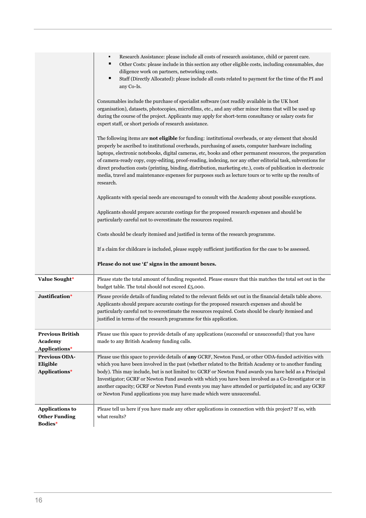|                                                            | Research Assistance: please include all costs of research assistance, child or parent care.<br>٠<br>٠<br>Other Costs: please include in this section any other eligible costs, including consumables, due<br>diligence work on partners, networking costs.<br>٠<br>Staff (Directly Allocated): please include all costs related to payment for the time of the PI and<br>any Co-Is.                                                                                                                                                                                                                                                                                             |
|------------------------------------------------------------|---------------------------------------------------------------------------------------------------------------------------------------------------------------------------------------------------------------------------------------------------------------------------------------------------------------------------------------------------------------------------------------------------------------------------------------------------------------------------------------------------------------------------------------------------------------------------------------------------------------------------------------------------------------------------------|
|                                                            | Consumables include the purchase of specialist software (not readily available in the UK host<br>organisation), datasets, photocopies, microfilms, etc., and any other minor items that will be used up<br>during the course of the project. Applicants may apply for short-term consultancy or salary costs for<br>expert staff, or short periods of research assistance.                                                                                                                                                                                                                                                                                                      |
|                                                            | The following items are not eligible for funding: institutional overheads, or any element that should<br>properly be ascribed to institutional overheads, purchasing of assets, computer hardware including<br>laptops, electronic notebooks, digital cameras, etc, books and other permanent resources, the preparation<br>of camera-ready copy, copy-editing, proof-reading, indexing, nor any other editorial task, subventions for<br>direct production costs (printing, binding, distribution, marketing etc.), costs of publication in electronic<br>media, travel and maintenance expenses for purposes such as lecture tours or to write up the results of<br>research. |
|                                                            | Applicants with special needs are encouraged to consult with the Academy about possible exceptions.                                                                                                                                                                                                                                                                                                                                                                                                                                                                                                                                                                             |
|                                                            | Applicants should prepare accurate costings for the proposed research expenses and should be<br>particularly careful not to overestimate the resources required.                                                                                                                                                                                                                                                                                                                                                                                                                                                                                                                |
|                                                            | Costs should be clearly itemised and justified in terms of the research programme.                                                                                                                                                                                                                                                                                                                                                                                                                                                                                                                                                                                              |
|                                                            |                                                                                                                                                                                                                                                                                                                                                                                                                                                                                                                                                                                                                                                                                 |
|                                                            | If a claim for childcare is included, please supply sufficient justification for the case to be assessed.                                                                                                                                                                                                                                                                                                                                                                                                                                                                                                                                                                       |
|                                                            | Please do not use '£' signs in the amount boxes.                                                                                                                                                                                                                                                                                                                                                                                                                                                                                                                                                                                                                                |
| Value Sought*                                              | Please state the total amount of funding requested. Please ensure that this matches the total set out in the<br>budget table. The total should not exceed £5,000.                                                                                                                                                                                                                                                                                                                                                                                                                                                                                                               |
| Justification*                                             | Please provide details of funding related to the relevant fields set out in the financial details table above.<br>Applicants should prepare accurate costings for the proposed research expenses and should be<br>particularly careful not to overestimate the resources required. Costs should be clearly itemised and<br>justified in terms of the research programme for this application.                                                                                                                                                                                                                                                                                   |
| <b>Previous British</b><br><b>Academy</b><br>Applications* | Please use this space to provide details of any applications (successful or unsuccessful) that you have<br>made to any British Academy funding calls.                                                                                                                                                                                                                                                                                                                                                                                                                                                                                                                           |
| <b>Previous ODA-</b><br>Eligible<br>Applications*          | Please use this space to provide details of any GCRF, Newton Fund, or other ODA-funded activities with<br>which you have been involved in the past (whether related to the British Academy or to another funding<br>body). This may include, but is not limited to: GCRF or Newton Fund awards you have held as a Principal<br>Investigator; GCRF or Newton Fund awards with which you have been involved as a Co-Investigator or in<br>another capacity; GCRF or Newton Fund events you may have attended or participated in; and any GCRF<br>or Newton Fund applications you may have made which were unsuccessful.                                                           |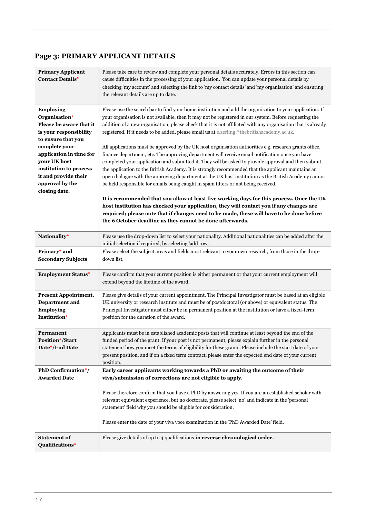#### **Page 3: PRIMARY APPLICANT DETAILS**

| <b>Primary Applicant</b><br><b>Contact Details*</b>                                                   | Please take care to review and complete your personal details accurately. Errors in this section can<br>cause difficulties in the processing of your application. You can update your personal details by<br>checking 'my account' and selecting the link to 'my contact details' and 'my organisation' and ensuring<br>the relevant details are up to date.                                                                             |
|-------------------------------------------------------------------------------------------------------|------------------------------------------------------------------------------------------------------------------------------------------------------------------------------------------------------------------------------------------------------------------------------------------------------------------------------------------------------------------------------------------------------------------------------------------|
| Employing<br>Organisation*<br>Please be aware that it<br>is your responsibility<br>to ensure that you | Please use the search bar to find your home institution and add the organisation to your application. If<br>your organisation is not available, then it may not be registered in our system. Before requesting the<br>addition of a new organisation, please check that it is not affiliated with any organisation that is already<br>registered. If it needs to be added, please email us at e.zerling@thebritishacademy.ac.uk.         |
| complete your<br>application in time for<br>your UK host<br>institution to process                    | All applications must be approved by the UK host organisation authorities e.g. research grants office,<br>finance department, etc. The approving department will receive email notification once you have<br>completed your application and submitted it. They will be asked to provide approval and then submit<br>the application to the British Academy. It is strongly recommended that the applicant maintains an                   |
| it and provide their<br>approval by the<br>closing date.                                              | open dialogue with the approving department at the UK host institution as the British Academy cannot<br>be held responsible for emails being caught in spam filters or not being received.                                                                                                                                                                                                                                               |
|                                                                                                       | It is recommended that you allow at least five working days for this process. Once the UK<br>host institution has checked your application, they will contact you if any changes are<br>required; please note that if changes need to be made, these will have to be done before<br>the 6 October deadline as they cannot be done afterwards.                                                                                            |
| Nationality*                                                                                          | Please use the drop-down list to select your nationality. Additional nationalities can be added after the<br>initial selection if required, by selecting 'add row'.                                                                                                                                                                                                                                                                      |
| Primary* and<br><b>Secondary Subjects</b>                                                             | Please select the subject areas and fields most relevant to your own research, from those in the drop-<br>down list.                                                                                                                                                                                                                                                                                                                     |
| <b>Employment Status*</b>                                                                             | Please confirm that your current position is either permanent or that your current employment will<br>extend beyond the lifetime of the award.                                                                                                                                                                                                                                                                                           |
| <b>Present Appointment,</b><br><b>Department</b> and<br><b>Employing</b><br>Institution*              | Please give details of your current appointment. The Principal Investigator must be based at an eligible<br>UK university or research institute and must be of postdoctoral (or above) or equivalent status. The<br>Principal Investigator must either be in permanent position at the institution or have a fixed-term<br>position for the duration of the award.                                                                       |
| Permanent<br><b>Position*/Start</b><br>Date*/End Date                                                 | Applicants must be in established academic posts that will continue at least beyond the end of the<br>funded period of the grant. If your post is not permanent, please explain further in the personal<br>statement how you meet the terms of eligibility for these grants. Please include the start date of your<br>present position, and if on a fixed term contract, please enter the expected end date of your current<br>position. |
| PhD Confirmation*/<br><b>Awarded Date</b>                                                             | Early career applicants working towards a PhD or awaiting the outcome of their<br>viva/submission of corrections are not eligible to apply.                                                                                                                                                                                                                                                                                              |
|                                                                                                       | Please therefore confirm that you have a PhD by answering yes. If you are an established scholar with<br>relevant equivalent experience, but no doctorate, please select 'no' and indicate in the 'personal<br>statement' field why you should be eligible for consideration.                                                                                                                                                            |
|                                                                                                       | Please enter the date of your viva voce examination in the 'PhD Awarded Date' field.                                                                                                                                                                                                                                                                                                                                                     |
| <b>Statement of</b><br>Qualifications*                                                                | Please give details of up to 4 qualifications in reverse chronological order.                                                                                                                                                                                                                                                                                                                                                            |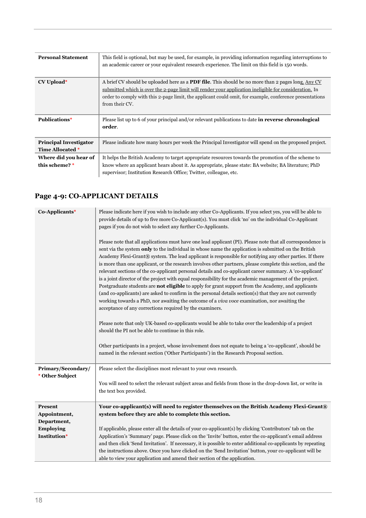| <b>Personal Statement</b>                         | This field is optional, but may be used, for example, in providing information regarding interruptions to<br>an academic career or your equivalent research experience. The limit on this field is 150 words.                                                                                                                                     |
|---------------------------------------------------|---------------------------------------------------------------------------------------------------------------------------------------------------------------------------------------------------------------------------------------------------------------------------------------------------------------------------------------------------|
| CV Upload*                                        | A brief CV should be uploaded here as a <b>PDF file</b> . This should be no more than 2 pages long. Any CV<br>submitted which is over the 2-page limit will render your application ineligible for consideration. In<br>order to comply with this 2-page limit, the applicant could omit, for example, conference presentations<br>from their CV. |
| <b>Publications*</b>                              | Please list up to 6 of your principal and/or relevant publications to date in reverse chronological<br>order.                                                                                                                                                                                                                                     |
| <b>Principal Investigator</b><br>Time Allocated * | Please indicate how many hours per week the Principal Investigator will spend on the proposed project.                                                                                                                                                                                                                                            |
| Where did you hear of<br>this scheme? *           | It helps the British Academy to target appropriate resources towards the promotion of the scheme to<br>know where an applicant hears about it. As appropriate, please state: BA website; BA literature; PhD<br>supervisor; Institution Research Office; Twitter, colleague, etc.                                                                  |

# **Page 4-9: CO-APPLICANT DETAILS Page 4-6: CO-APPLICANT DETAILS**

| Co-Applicants*                        | Please indicate here if you wish to include any other Co-Applicants. If you select yes, you will be able to<br>provide details of up to five more Co-Applicant(s). You must click 'no' on the individual Co-Applicant<br>pages if you do not wish to select any further Co-Applicants.<br>Please note that all applications must have one lead applicant (PI). Please note that all correspondence is<br>sent via the system only to the individual in whose name the application is submitted on the British<br>Academy Flexi-Grant® system. The lead applicant is responsible for notifying any other parties. If there<br>is more than one applicant, or the research involves other partners, please complete this section, and the<br>relevant sections of the co-applicant personal details and co-applicant career summary. A 'co-applicant'<br>is a joint director of the project with equal responsibility for the academic management of the project.<br>Postgraduate students are <b>not eligible</b> to apply for grant support from the Academy, and applicants<br>(and co-applicants) are asked to confirm in the personal details section(s) that they are not currently<br>working towards a PhD, nor awaiting the outcome of a <i>viva voce</i> examination, nor awaiting the<br>acceptance of any corrections required by the examiners.<br>Please note that only UK-based co-applicants would be able to take over the leadership of a project<br>should the PI not be able to continue in this role.<br>Other participants in a project, whose involvement does not equate to being a 'co-applicant', should be<br>named in the relevant section ('Other Participants') in the Research Proposal section. |
|---------------------------------------|-------------------------------------------------------------------------------------------------------------------------------------------------------------------------------------------------------------------------------------------------------------------------------------------------------------------------------------------------------------------------------------------------------------------------------------------------------------------------------------------------------------------------------------------------------------------------------------------------------------------------------------------------------------------------------------------------------------------------------------------------------------------------------------------------------------------------------------------------------------------------------------------------------------------------------------------------------------------------------------------------------------------------------------------------------------------------------------------------------------------------------------------------------------------------------------------------------------------------------------------------------------------------------------------------------------------------------------------------------------------------------------------------------------------------------------------------------------------------------------------------------------------------------------------------------------------------------------------------------------------------------------------------------------------------------------------------------------------------------|
| Primary/Secondary/<br>* Other Subject | Please select the disciplines most relevant to your own research.                                                                                                                                                                                                                                                                                                                                                                                                                                                                                                                                                                                                                                                                                                                                                                                                                                                                                                                                                                                                                                                                                                                                                                                                                                                                                                                                                                                                                                                                                                                                                                                                                                                             |
|                                       | You will need to select the relevant subject areas and fields from those in the drop-down list, or write in<br>the text box provided.                                                                                                                                                                                                                                                                                                                                                                                                                                                                                                                                                                                                                                                                                                                                                                                                                                                                                                                                                                                                                                                                                                                                                                                                                                                                                                                                                                                                                                                                                                                                                                                         |
| Present                               | Your co-applicant(s) will need to register themselves on the British Academy Flexi-Grant®                                                                                                                                                                                                                                                                                                                                                                                                                                                                                                                                                                                                                                                                                                                                                                                                                                                                                                                                                                                                                                                                                                                                                                                                                                                                                                                                                                                                                                                                                                                                                                                                                                     |
| Appointment,                          | system before they are able to complete this section.                                                                                                                                                                                                                                                                                                                                                                                                                                                                                                                                                                                                                                                                                                                                                                                                                                                                                                                                                                                                                                                                                                                                                                                                                                                                                                                                                                                                                                                                                                                                                                                                                                                                         |
| Department,                           |                                                                                                                                                                                                                                                                                                                                                                                                                                                                                                                                                                                                                                                                                                                                                                                                                                                                                                                                                                                                                                                                                                                                                                                                                                                                                                                                                                                                                                                                                                                                                                                                                                                                                                                               |
| <b>Employing</b>                      | If applicable, please enter all the details of your co-applicant(s) by clicking 'Contributors' tab on the                                                                                                                                                                                                                                                                                                                                                                                                                                                                                                                                                                                                                                                                                                                                                                                                                                                                                                                                                                                                                                                                                                                                                                                                                                                                                                                                                                                                                                                                                                                                                                                                                     |
| Institution*                          | Application's 'Summary' page. Please click on the 'Invite' button, enter the co-applicant's email address                                                                                                                                                                                                                                                                                                                                                                                                                                                                                                                                                                                                                                                                                                                                                                                                                                                                                                                                                                                                                                                                                                                                                                                                                                                                                                                                                                                                                                                                                                                                                                                                                     |
|                                       | and then click 'Send Invitation'. If necessary, it is possible to enter additional co-applicants by repeating                                                                                                                                                                                                                                                                                                                                                                                                                                                                                                                                                                                                                                                                                                                                                                                                                                                                                                                                                                                                                                                                                                                                                                                                                                                                                                                                                                                                                                                                                                                                                                                                                 |
|                                       | the instructions above. Once you have clicked on the 'Send Invitation' button, your co-applicant will be                                                                                                                                                                                                                                                                                                                                                                                                                                                                                                                                                                                                                                                                                                                                                                                                                                                                                                                                                                                                                                                                                                                                                                                                                                                                                                                                                                                                                                                                                                                                                                                                                      |
|                                       | able to view your application and amend their section of the application.                                                                                                                                                                                                                                                                                                                                                                                                                                                                                                                                                                                                                                                                                                                                                                                                                                                                                                                                                                                                                                                                                                                                                                                                                                                                                                                                                                                                                                                                                                                                                                                                                                                     |